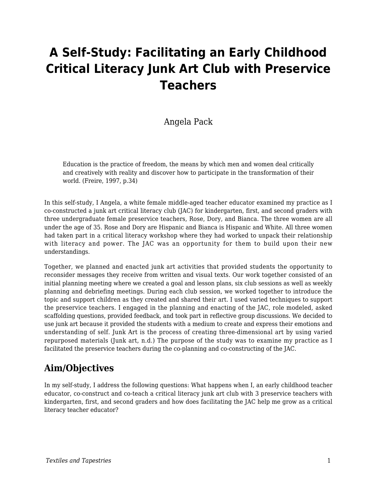# **A Self-Study: Facilitating an Early Childhood Critical Literacy Junk Art Club with Preservice Teachers**

### Angela Pack

Education is the practice of freedom, the means by which men and women deal critically and creatively with reality and discover how to participate in the transformation of their world. (Freire, 1997, p.34)

In this self-study, I Angela, a white female middle-aged teacher educator examined my practice as I co-constructed a junk art critical literacy club (JAC) for kindergarten, first, and second graders with three undergraduate female preservice teachers, Rose, Dory, and Bianca. The three women are all under the age of 35. Rose and Dory are Hispanic and Bianca is Hispanic and White. All three women had taken part in a critical literacy workshop where they had worked to unpack their relationship with literacy and power. The JAC was an opportunity for them to build upon their new understandings.

Together, we planned and enacted junk art activities that provided students the opportunity to reconsider messages they receive from written and visual texts. Our work together consisted of an initial planning meeting where we created a goal and lesson plans, six club sessions as well as weekly planning and debriefing meetings. During each club session, we worked together to introduce the topic and support children as they created and shared their art. I used varied techniques to support the preservice teachers. I engaged in the planning and enacting of the JAC, role modeled, asked scaffolding questions, provided feedback, and took part in reflective group discussions. We decided to use junk art because it provided the students with a medium to create and express their emotions and understanding of self. Junk Art is the process of creating three-dimensional art by using varied repurposed materials (Junk art, n.d.) The purpose of the study was to examine my practice as I facilitated the preservice teachers during the co-planning and co-constructing of the JAC.

# **Aim/Objectives**

In my self-study, I address the following questions: What happens when I, an early childhood teacher educator, co-construct and co-teach a critical literacy junk art club with 3 preservice teachers with kindergarten, first, and second graders and how does facilitating the JAC help me grow as a critical literacy teacher educator?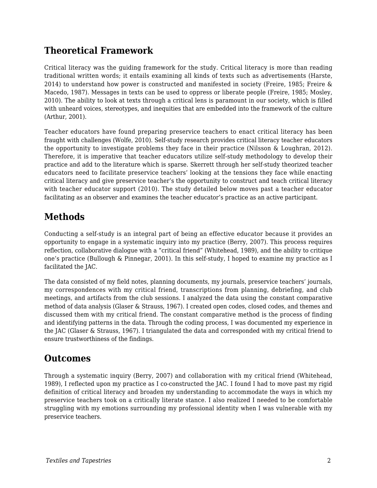# **Theoretical Framework**

Critical literacy was the guiding framework for the study. Critical literacy is more than reading traditional written words; it entails examining all kinds of texts such as advertisements (Harste, 2014) to understand how power is constructed and manifested in society (Freire, 1985; Freire & Macedo, 1987). Messages in texts can be used to oppress or liberate people (Freire, 1985; Mosley, 2010). The ability to look at texts through a critical lens is paramount in our society, which is filled with unheard voices, stereotypes, and inequities that are embedded into the framework of the culture (Arthur, 2001).

Teacher educators have found preparing preservice teachers to enact critical literacy has been fraught with challenges (Wolfe, 2010). Self-study research provides critical literacy teacher educators the opportunity to investigate problems they face in their practice (Nilsson & Loughran, 2012). Therefore, it is imperative that teacher educators utilize self-study methodology to develop their practice and add to the literature which is sparse. Skerrett through her self-study theorized teacher educators need to facilitate preservice teachers' looking at the tensions they face while enacting critical literacy and give preservice teacher's the opportunity to construct and teach critical literacy with teacher educator support (2010). The study detailed below moves past a teacher educator facilitating as an observer and examines the teacher educator's practice as an active participant.

# **Methods**

Conducting a self-study is an integral part of being an effective educator because it provides an opportunity to engage in a systematic inquiry into my practice (Berry, 2007). This process requires reflection, collaborative dialogue with a "critical friend" (Whitehead, 1989), and the ability to critique one's practice (Bullough & Pinnegar, 2001). In this self-study, I hoped to examine my practice as I facilitated the JAC.

The data consisted of my field notes, planning documents, my journals, preservice teachers' journals, my correspondences with my critical friend, transcriptions from planning, debriefing, and club meetings, and artifacts from the club sessions. I analyzed the data using the constant comparative method of data analysis (Glaser & Strauss, 1967). I created open codes, closed codes, and themes and discussed them with my critical friend. The constant comparative method is the process of finding and identifying patterns in the data. Through the coding process, I was documented my experience in the JAC (Glaser & Strauss, 1967). I triangulated the data and corresponded with my critical friend to ensure trustworthiness of the findings.

# **Outcomes**

Through a systematic inquiry (Berry, 2007) and collaboration with my critical friend (Whitehead, 1989), I reflected upon my practice as I co-constructed the JAC. I found I had to move past my rigid definition of critical literacy and broaden my understanding to accommodate the ways in which my preservice teachers took on a critically literate stance. I also realized I needed to be comfortable struggling with my emotions surrounding my professional identity when I was vulnerable with my preservice teachers.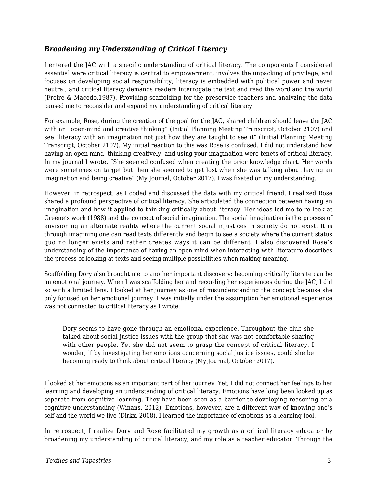#### *Broadening my Understanding of Critical Literacy*

I entered the JAC with a specific understanding of critical literacy. The components I considered essential were critical literacy is central to empowerment, involves the unpacking of privilege, and focuses on developing social responsibility; literacy is embedded with political power and never neutral; and critical literacy demands readers interrogate the text and read the word and the world (Freire & Macedo,1987). Providing scaffolding for the preservice teachers and analyzing the data caused me to reconsider and expand my understanding of critical literacy.

For example, Rose, during the creation of the goal for the JAC, shared children should leave the JAC with an "open-mind and creative thinking" (Initial Planning Meeting Transcript, October 2107) and see "literacy with an imagination not just how they are taught to see it" (Initial Planning Meeting Transcript, October 2107). My initial reaction to this was Rose is confused. I did not understand how having an open mind, thinking creatively, and using your imagination were tenets of critical literacy. In my journal I wrote, "She seemed confused when creating the prior knowledge chart. Her words were sometimes on target but then she seemed to get lost when she was talking about having an imagination and being creative" (My Journal, October 2017). I was fixated on my understanding.

However, in retrospect, as I coded and discussed the data with my critical friend, I realized Rose shared a profound perspective of critical literacy. She articulated the connection between having an imagination and how it applied to thinking critically about literacy. Her ideas led me to re-look at Greene's work (1988) and the concept of social imagination. The social imagination is the process of envisioning an alternate reality where the current social injustices in society do not exist. It is through imagining one can read texts differently and begin to see a society where the current status quo no longer exists and rather creates ways it can be different. I also discovered Rose's understanding of the importance of having an open mind when interacting with literature describes the process of looking at texts and seeing multiple possibilities when making meaning.

Scaffolding Dory also brought me to another important discovery: becoming critically literate can be an emotional journey. When I was scaffolding her and recording her experiences during the JAC, I did so with a limited lens. I looked at her journey as one of misunderstanding the concept because she only focused on her emotional journey. I was initially under the assumption her emotional experience was not connected to critical literacy as I wrote:

Dory seems to have gone through an emotional experience. Throughout the club she talked about social justice issues with the group that she was not comfortable sharing with other people. Yet she did not seem to grasp the concept of critical literacy. I wonder, if by investigating her emotions concerning social justice issues, could she be becoming ready to think about critical literacy (My Journal, October 2017).

I looked at her emotions as an important part of her journey. Yet, I did not connect her feelings to her learning and developing an understanding of critical literacy. Emotions have long been looked up as separate from cognitive learning. They have been seen as a barrier to developing reasoning or a cognitive understanding (Winans, 2012). Emotions, however, are a different way of knowing one's self and the world we live (Dirkx, 2008). I learned the importance of emotions as a learning tool.

In retrospect, I realize Dory and Rose facilitated my growth as a critical literacy educator by broadening my understanding of critical literacy, and my role as a teacher educator. Through the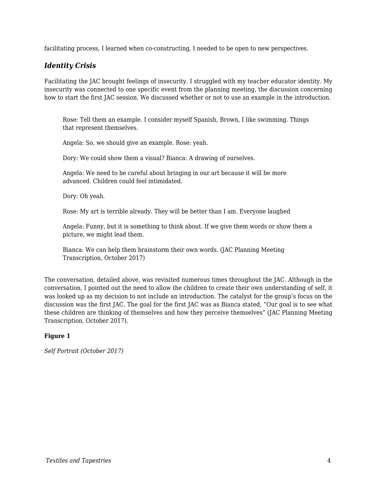facilitating process, I learned when co-constructing, I needed to be open to new perspectives.

#### *Identity Crisis*

Facilitating the JAC brought feelings of insecurity. I struggled with my teacher educator identity. My insecurity was connected to one specific event from the planning meeting, the discussion concerning how to start the first JAC session. We discussed whether or not to use an example in the introduction.

Rose: Tell them an example. I consider myself Spanish, Brown, I like swimming. Things that represent themselves.

Angela: So, we should give an example. Rose: yeah.

Dory: We could show them a visual? Bianca: A drawing of ourselves.

Angela: We need to be careful about bringing in our art because it will be more advanced. Children could feel intimidated.

Dory: Oh yeah.

Rose: My art is terrible already. They will be better than I am. Everyone laughed

Angela: Funny, but it is something to think about. If we give them words or show them a picture, we might lead them.

Bianca: We can help them brainstorm their own words. (JAC Planning Meeting Transcription, October 2017)

The conversation, detailed above, was revisited numerous times throughout the JAC. Although in the conversation, I pointed out the need to allow the children to create their own understanding of self, it was looked up as my decision to not include an introduction. The catalyst for the group's focus on the discussion was the first JAC. The goal for the first JAC was as Bianca stated, "Our goal is to see what these children are thinking of themselves and how they perceive themselves" (JAC Planning Meeting Transcription, October 2017).

#### **Figure 1**

*Self Portrait (October 2017)*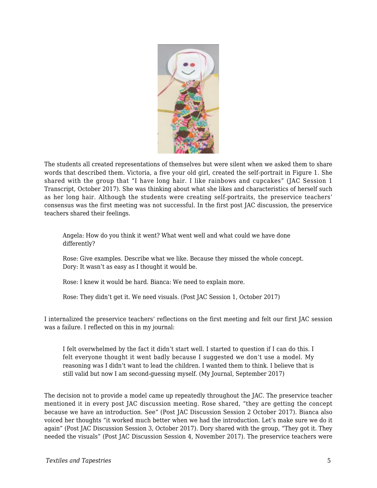

The students all created representations of themselves but were silent when we asked them to share words that described them. Victoria, a five your old girl, created the self-portrait in Figure 1. She shared with the group that "I have long hair. I like rainbows and cupcakes" (JAC Session 1 Transcript, October 2017). She was thinking about what she likes and characteristics of herself such as her long hair. Although the students were creating self-portraits, the preservice teachers' consensus was the first meeting was not successful. In the first post JAC discussion, the preservice teachers shared their feelings.

Angela: How do you think it went? What went well and what could we have done differently?

Rose: Give examples. Describe what we like. Because they missed the whole concept. Dory: It wasn't as easy as I thought it would be.

Rose: I knew it would be hard. Bianca: We need to explain more.

Rose: They didn't get it. We need visuals. (Post JAC Session 1, October 2017)

I internalized the preservice teachers' reflections on the first meeting and felt our first JAC session was a failure. I reflected on this in my journal:

I felt overwhelmed by the fact it didn't start well. I started to question if I can do this. I felt everyone thought it went badly because I suggested we don't use a model. My reasoning was I didn't want to lead the children. I wanted them to think. I believe that is still valid but now I am second-guessing myself. (My Journal, September 2017)

The decision not to provide a model came up repeatedly throughout the JAC. The preservice teacher mentioned it in every post JAC discussion meeting. Rose shared, "they are getting the concept because we have an introduction. See" (Post JAC Discussion Session 2 October 2017). Bianca also voiced her thoughts "it worked much better when we had the introduction. Let's make sure we do it again" (Post JAC Discussion Session 3, October 2017). Dory shared with the group, "They got it. They needed the visuals" (Post JAC Discussion Session 4, November 2017). The preservice teachers were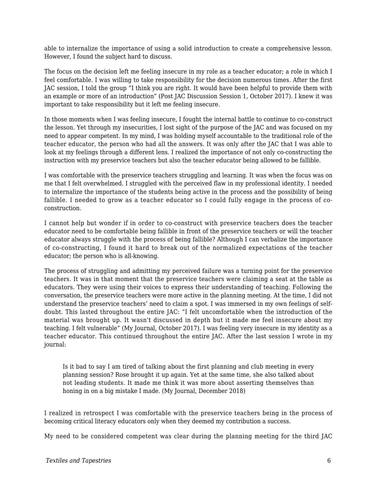able to internalize the importance of using a solid introduction to create a comprehensive lesson. However, I found the subject hard to discuss.

The focus on the decision left me feeling insecure in my role as a teacher educator; a role in which I feel comfortable. I was willing to take responsibility for the decision numerous times. After the first JAC session, I told the group "I think you are right. It would have been helpful to provide them with an example or more of an introduction" (Post JAC Discussion Session 1, October 2017). I knew it was important to take responsibility but it left me feeling insecure.

In those moments when I was feeling insecure, I fought the internal battle to continue to co-construct the lesson. Yet through my insecurities, I lost sight of the purpose of the JAC and was focused on my need to appear competent. In my mind, I was holding myself accountable to the traditional role of the teacher educator, the person who had all the answers. It was only after the JAC that I was able to look at my feelings through a different lens. I realized the importance of not only co-constructing the instruction with my preservice teachers but also the teacher educator being allowed to be fallible.

I was comfortable with the preservice teachers struggling and learning. It was when the focus was on me that I felt overwhelmed. I struggled with the perceived flaw in my professional identity. I needed to internalize the importance of the students being active in the process and the possibility of being fallible. I needed to grow as a teacher educator so I could fully engage in the process of coconstruction.

I cannot help but wonder if in order to co-construct with preservice teachers does the teacher educator need to be comfortable being fallible in front of the preservice teachers or will the teacher educator always struggle with the process of being fallible? Although I can verbalize the importance of co-constructing, I found it hard to break out of the normalized expectations of the teacher educator; the person who is all-knowing.

The process of struggling and admitting my perceived failure was a turning point for the preservice teachers. It was in that moment that the preservice teachers were claiming a seat at the table as educators. They were using their voices to express their understanding of teaching. Following the conversation, the preservice teachers were more active in the planning meeting. At the time, I did not understand the preservice teachers' need to claim a spot. I was immersed in my own feelings of selfdoubt. This lasted throughout the entire JAC: "I felt uncomfortable when the introduction of the material was brought up. It wasn't discussed in depth but it made me feel insecure about my teaching. I felt vulnerable" (My Journal, October 2017). I was feeling very insecure in my identity as a teacher educator. This continued throughout the entire JAC. After the last session I wrote in my journal:

Is it bad to say I am tired of talking about the first planning and club meeting in every planning session? Rose brought it up again. Yet at the same time, she also talked about not leading students. It made me think it was more about asserting themselves than honing in on a big mistake I made. (My Journal, December 2018)

I realized in retrospect I was comfortable with the preservice teachers being in the process of becoming critical literacy educators only when they deemed my contribution a success.

My need to be considered competent was clear during the planning meeting for the third JAC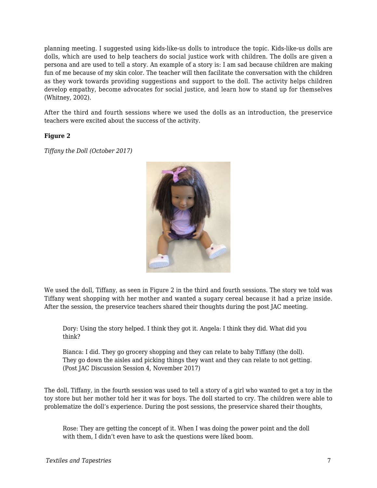planning meeting. I suggested using kids-like-us dolls to introduce the topic. Kids-like-us dolls are dolls, which are used to help teachers do social justice work with children. The dolls are given a persona and are used to tell a story. An example of a story is: I am sad because children are making fun of me because of my skin color. The teacher will then facilitate the conversation with the children as they work towards providing suggestions and support to the doll. The activity helps children develop empathy, become advocates for social justice, and learn how to stand up for themselves (Whitney, 2002).

After the third and fourth sessions where we used the dolls as an introduction, the preservice teachers were excited about the success of the activity.

#### **Figure 2**

*Tiffany the Doll (October 2017)*



We used the doll, Tiffany, as seen in Figure 2 in the third and fourth sessions. The story we told was Tiffany went shopping with her mother and wanted a sugary cereal because it had a prize inside. After the session, the preservice teachers shared their thoughts during the post JAC meeting.

Dory: Using the story helped. I think they got it. Angela: I think they did. What did you think?

Bianca: I did. They go grocery shopping and they can relate to baby Tiffany (the doll). They go down the aisles and picking things they want and they can relate to not getting. (Post JAC Discussion Session 4, November 2017)

The doll, Tiffany, in the fourth session was used to tell a story of a girl who wanted to get a toy in the toy store but her mother told her it was for boys. The doll started to cry. The children were able to problematize the doll's experience. During the post sessions, the preservice shared their thoughts,

Rose: They are getting the concept of it. When I was doing the power point and the doll with them, I didn't even have to ask the questions were liked boom.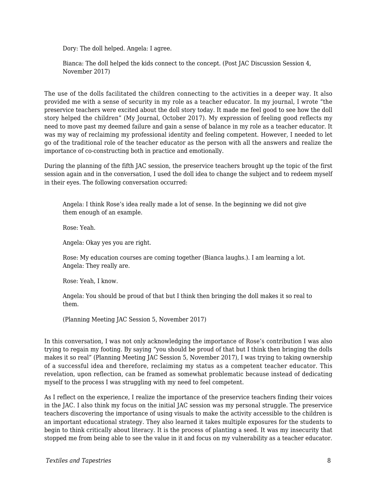Dory: The doll helped. Angela: I agree.

Bianca: The doll helped the kids connect to the concept. (Post JAC Discussion Session 4, November 2017)

The use of the dolls facilitated the children connecting to the activities in a deeper way. It also provided me with a sense of security in my role as a teacher educator. In my journal, I wrote "the preservice teachers were excited about the doll story today. It made me feel good to see how the doll story helped the children" (My Journal, October 2017). My expression of feeling good reflects my need to move past my deemed failure and gain a sense of balance in my role as a teacher educator. It was my way of reclaiming my professional identity and feeling competent. However, I needed to let go of the traditional role of the teacher educator as the person with all the answers and realize the importance of co-constructing both in practice and emotionally.

During the planning of the fifth JAC session, the preservice teachers brought up the topic of the first session again and in the conversation, I used the doll idea to change the subject and to redeem myself in their eyes. The following conversation occurred:

Angela: I think Rose's idea really made a lot of sense. In the beginning we did not give them enough of an example.

Rose: Yeah.

Angela: Okay yes you are right.

Rose: My education courses are coming together (Bianca laughs.). I am learning a lot. Angela: They really are.

Rose: Yeah, I know.

Angela: You should be proud of that but I think then bringing the doll makes it so real to them.

(Planning Meeting JAC Session 5, November 2017)

In this conversation, I was not only acknowledging the importance of Rose's contribution I was also trying to regain my footing. By saying "you should be proud of that but I think then bringing the dolls makes it so real" (Planning Meeting JAC Session 5, November 2017), I was trying to taking ownership of a successful idea and therefore, reclaiming my status as a competent teacher educator. This revelation, upon reflection, can be framed as somewhat problematic because instead of dedicating myself to the process I was struggling with my need to feel competent.

As I reflect on the experience, I realize the importance of the preservice teachers finding their voices in the JAC. I also think my focus on the initial JAC session was my personal struggle. The preservice teachers discovering the importance of using visuals to make the activity accessible to the children is an important educational strategy. They also learned it takes multiple exposures for the students to begin to think critically about literacy. It is the process of planting a seed. It was my insecurity that stopped me from being able to see the value in it and focus on my vulnerability as a teacher educator.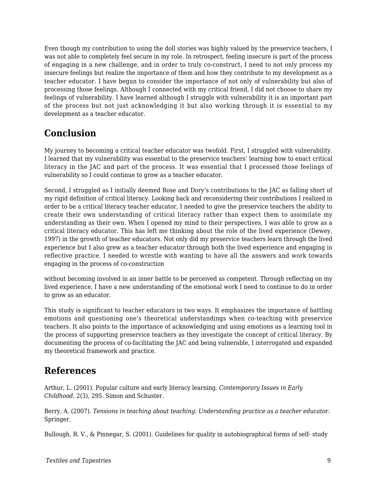Even though my contribution to using the doll stories was highly valued by the preservice teachers, I was not able to completely feel secure in my role. In retrospect, feeling insecure is part of the process of engaging in a new challenge, and in order to truly co-construct, I need to not only process my insecure feelings but realize the importance of them and how they contribute to my development as a teacher educator. I have begun to consider the importance of not only of vulnerability but also of processing those feelings. Although I connected with my critical friend, I did not choose to share my feelings of vulnerability. I have learned although I struggle with vulnerability it is an important part of the process but not just acknowledging it but also working through it is essential to my development as a teacher educator.

# **Conclusion**

My journey to becoming a critical teacher educator was twofold. First, I struggled with vulnerability. I learned that my vulnerability was essential to the preservice teachers' learning how to enact critical literacy in the JAC and part of the process. It was essential that I processed those feelings of vulnerability so I could continue to grow as a teacher educator.

Second, I struggled as I initially deemed Rose and Dory's contributions to the JAC as falling short of my rigid definition of critical literacy. Looking back and reconsidering their contributions I realized in order to be a critical literacy teacher educator, I needed to give the preservice teachers the ability to create their own understanding of critical literacy rather than expect them to assimilate my understanding as their own. When I opened my mind to their perspectives, I was able to grow as a critical literacy educator. This has left me thinking about the role of the lived experience (Dewey, 1997) in the growth of teacher educators. Not only did my preservice teachers learn through the lived experience but I also grew as a teacher educator through both the lived experience and engaging in reflective practice. I needed to wrestle with wanting to have all the answers and work towards engaging in the process of co-construction

without becoming involved in an inner battle to be perceived as competent. Through reflecting on my lived experience, I have a new understanding of the emotional work I need to continue to do in order to grow as an educator.

This study is significant to teacher educators in two ways. It emphasizes the importance of battling emotions and questioning one's theoretical understandings when co-teaching with preservice teachers. It also points to the importance of acknowledging and using emotions as a learning tool in the process of supporting preservice teachers as they investigate the concept of critical literacy. By documenting the process of co-facilitating the JAC and being vulnerable, I interrogated and expanded my theoretical framework and practice.

### **References**

Arthur, L. (2001). Popular culture and early literacy learning. *Contemporary Issues in Early Childhood*, 2(3), 295. Simon and Schuster.

Berry, A. (2007). *Tensions in teaching about teaching: Understanding practice as a teacher educator*. Springer.

Bullough, R. V., & Pinnegar, S. (2001). Guidelines for quality in autobiographical forms of self- study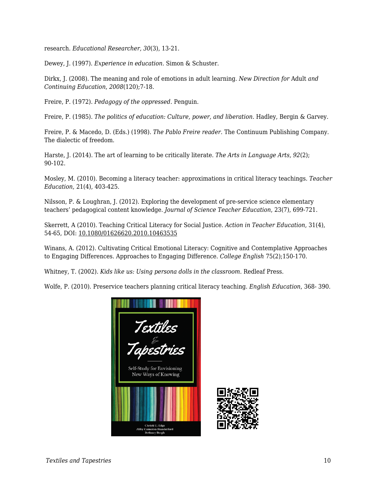research. *Educational Researcher, 30*(3), 13-21.

Dewey, J. (1997). *Experience in education.* Simon & Schuster.

Dirkx, J. (2008). The meaning and role of emotions in adult learning. *New Direction for* Adult *and Continuing Education*, *2008*(120);7-18.

Freire, P. (1972). *Pedagogy of the oppressed*. Penguin.

Freire, P. (1985). *The politics of education: Culture, power, and liberation*. Hadley, Bergin & Garvey.

Freire, P. & Macedo, D. (Eds.) (1998). *The Pablo Freire reader*. The Continuum Publishing Company. The dialectic of freedom.

Harste, J. (2014). The art of learning to be critically literate. *The Arts in Language Arts, 92*(2); 90-102.

Mosley, M. (2010). Becoming a literacy teacher: approximations in critical literacy teachings. *Teacher Education*, 21(4), 403-425.

Nilsson, P. & Loughran, J. (2012). Exploring the development of pre-service science elementary teachers' pedagogical content knowledge. *Journal of Science Teacher Education*, 23(7), 699-721.

Skerrett, A (2010). Teaching Critical Literacy for Social Justice. *Action in Teacher Education*, 31(4), 54-65, DOI: 10.1080/01626620.2010.10463535

Winans, A. (2012). Cultivating Critical Emotional Literacy: Cognitive and Contemplative Approaches to Engaging Differences. Approaches to Engaging Difference. *College English* 75(2);150-170.

Whitney, T. (2002). *Kids like us: Using persona dolls in the classroom.* Redleaf Press.

Wolfe, P. (2010). Preservice teachers planning critical literacy teaching. *English Education*, 368- 390.